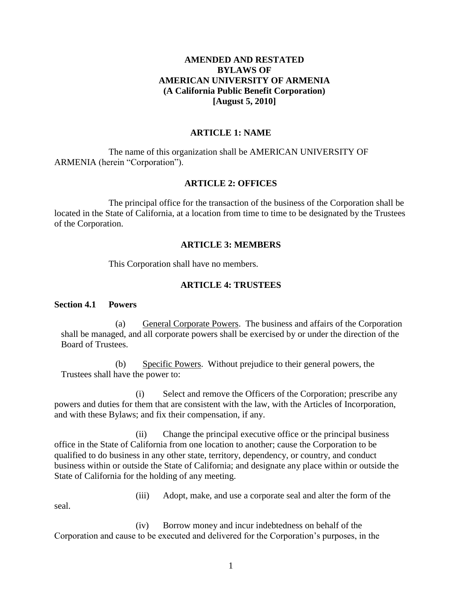## **AMENDED AND RESTATED BYLAWS OF AMERICAN UNIVERSITY OF ARMENIA (A California Public Benefit Corporation) [August 5, 2010]**

## **ARTICLE 1: NAME**

The name of this organization shall be AMERICAN UNIVERSITY OF ARMENIA (herein "Corporation").

### **ARTICLE 2: OFFICES**

The principal office for the transaction of the business of the Corporation shall be located in the State of California, at a location from time to time to be designated by the Trustees of the Corporation.

#### **ARTICLE 3: MEMBERS**

This Corporation shall have no members.

### **ARTICLE 4: TRUSTEES**

#### **Section 4.1 Powers**

(a) General Corporate Powers. The business and affairs of the Corporation shall be managed, and all corporate powers shall be exercised by or under the direction of the Board of Trustees.

(b) Specific Powers. Without prejudice to their general powers, the Trustees shall have the power to:

(i) Select and remove the Officers of the Corporation; prescribe any powers and duties for them that are consistent with the law, with the Articles of Incorporation, and with these Bylaws; and fix their compensation, if any.

(ii) Change the principal executive office or the principal business office in the State of California from one location to another; cause the Corporation to be qualified to do business in any other state, territory, dependency, or country, and conduct business within or outside the State of California; and designate any place within or outside the State of California for the holding of any meeting.

(iii) Adopt, make, and use a corporate seal and alter the form of the

seal.

(iv) Borrow money and incur indebtedness on behalf of the Corporation and cause to be executed and delivered for the Corporation's purposes, in the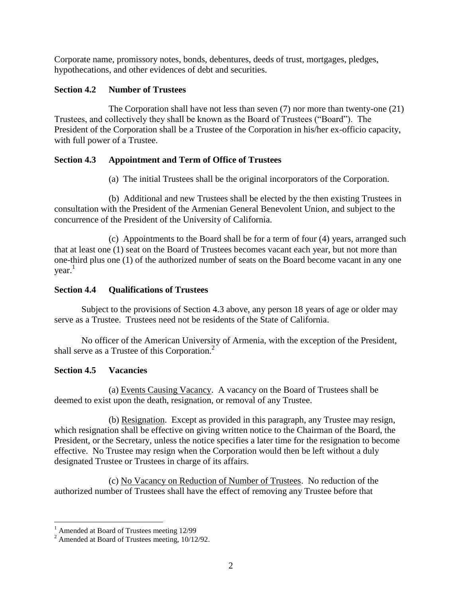Corporate name, promissory notes, bonds, debentures, deeds of trust, mortgages, pledges, hypothecations, and other evidences of debt and securities.

## **Section 4.2 Number of Trustees**

The Corporation shall have not less than seven (7) nor more than twenty-one (21) Trustees, and collectively they shall be known as the Board of Trustees ("Board"). The President of the Corporation shall be a Trustee of the Corporation in his/her ex-officio capacity, with full power of a Trustee.

# **Section 4.3 Appointment and Term of Office of Trustees**

(a) The initial Trustees shall be the original incorporators of the Corporation.

(b) Additional and new Trustees shall be elected by the then existing Trustees in consultation with the President of the Armenian General Benevolent Union, and subject to the concurrence of the President of the University of California.

(c) Appointments to the Board shall be for a term of four (4) years, arranged such that at least one (1) seat on the Board of Trustees becomes vacant each year, but not more than one-third plus one (1) of the authorized number of seats on the Board become vacant in any one year. 1

# **Section 4.4 Qualifications of Trustees**

Subject to the provisions of Section 4.3 above, any person 18 years of age or older may serve as a Trustee. Trustees need not be residents of the State of California.

No officer of the American University of Armenia, with the exception of the President, shall serve as a Trustee of this Corporation.<sup>2</sup>

## **Section 4.5 Vacancies**

(a) Events Causing Vacancy. A vacancy on the Board of Trustees shall be deemed to exist upon the death, resignation, or removal of any Trustee.

(b) Resignation. Except as provided in this paragraph, any Trustee may resign, which resignation shall be effective on giving written notice to the Chairman of the Board, the President, or the Secretary, unless the notice specifies a later time for the resignation to become effective. No Trustee may resign when the Corporation would then be left without a duly designated Trustee or Trustees in charge of its affairs.

(c) No Vacancy on Reduction of Number of Trustees. No reduction of the authorized number of Trustees shall have the effect of removing any Trustee before that

 $\overline{a}$ 

<sup>&</sup>lt;sup>1</sup> Amended at Board of Trustees meeting 12/99

 $2$  Amended at Board of Trustees meeting,  $10/12/92$ .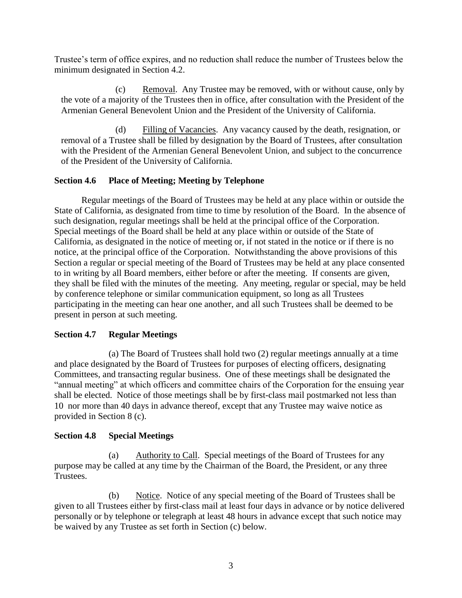Trustee's term of office expires, and no reduction shall reduce the number of Trustees below the minimum designated in Section 4.2.

(c) Removal. Any Trustee may be removed, with or without cause, only by the vote of a majority of the Trustees then in office, after consultation with the President of the Armenian General Benevolent Union and the President of the University of California.

(d) Filling of Vacancies. Any vacancy caused by the death, resignation, or removal of a Trustee shall be filled by designation by the Board of Trustees, after consultation with the President of the Armenian General Benevolent Union, and subject to the concurrence of the President of the University of California.

## **Section 4.6 Place of Meeting; Meeting by Telephone**

Regular meetings of the Board of Trustees may be held at any place within or outside the State of California, as designated from time to time by resolution of the Board. In the absence of such designation, regular meetings shall be held at the principal office of the Corporation. Special meetings of the Board shall be held at any place within or outside of the State of California, as designated in the notice of meeting or, if not stated in the notice or if there is no notice, at the principal office of the Corporation. Notwithstanding the above provisions of this Section a regular or special meeting of the Board of Trustees may be held at any place consented to in writing by all Board members, either before or after the meeting. If consents are given, they shall be filed with the minutes of the meeting. Any meeting, regular or special, may be held by conference telephone or similar communication equipment, so long as all Trustees participating in the meeting can hear one another, and all such Trustees shall be deemed to be present in person at such meeting.

## **Section 4.7 Regular Meetings**

(a) The Board of Trustees shall hold two (2) regular meetings annually at a time and place designated by the Board of Trustees for purposes of electing officers, designating Committees, and transacting regular business. One of these meetings shall be designated the "annual meeting" at which officers and committee chairs of the Corporation for the ensuing year shall be elected. Notice of those meetings shall be by first-class mail postmarked not less than 10 nor more than 40 days in advance thereof, except that any Trustee may waive notice as provided in Section 8 (c).

# **Section 4.8 Special Meetings**

(a) Authority to Call. Special meetings of the Board of Trustees for any purpose may be called at any time by the Chairman of the Board, the President, or any three Trustees.

(b) Notice. Notice of any special meeting of the Board of Trustees shall be given to all Trustees either by first-class mail at least four days in advance or by notice delivered personally or by telephone or telegraph at least 48 hours in advance except that such notice may be waived by any Trustee as set forth in Section (c) below.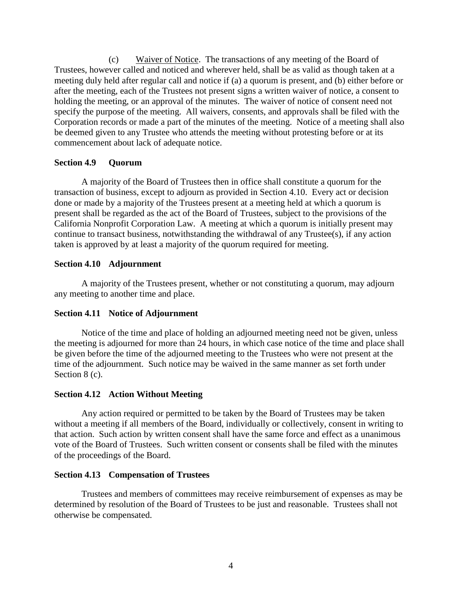(c) Waiver of Notice. The transactions of any meeting of the Board of Trustees, however called and noticed and wherever held, shall be as valid as though taken at a meeting duly held after regular call and notice if (a) a quorum is present, and (b) either before or after the meeting, each of the Trustees not present signs a written waiver of notice, a consent to holding the meeting, or an approval of the minutes. The waiver of notice of consent need not specify the purpose of the meeting. All waivers, consents, and approvals shall be filed with the Corporation records or made a part of the minutes of the meeting. Notice of a meeting shall also be deemed given to any Trustee who attends the meeting without protesting before or at its commencement about lack of adequate notice.

## **Section 4.9 Quorum**

A majority of the Board of Trustees then in office shall constitute a quorum for the transaction of business, except to adjourn as provided in Section 4.10. Every act or decision done or made by a majority of the Trustees present at a meeting held at which a quorum is present shall be regarded as the act of the Board of Trustees, subject to the provisions of the California Nonprofit Corporation Law. A meeting at which a quorum is initially present may continue to transact business, notwithstanding the withdrawal of any Trustee(s), if any action taken is approved by at least a majority of the quorum required for meeting.

## **Section 4.10 Adjournment**

A majority of the Trustees present, whether or not constituting a quorum, may adjourn any meeting to another time and place.

## **Section 4.11 Notice of Adjournment**

Notice of the time and place of holding an adjourned meeting need not be given, unless the meeting is adjourned for more than 24 hours, in which case notice of the time and place shall be given before the time of the adjourned meeting to the Trustees who were not present at the time of the adjournment. Such notice may be waived in the same manner as set forth under Section 8 (c).

## **Section 4.12 Action Without Meeting**

Any action required or permitted to be taken by the Board of Trustees may be taken without a meeting if all members of the Board, individually or collectively, consent in writing to that action. Such action by written consent shall have the same force and effect as a unanimous vote of the Board of Trustees. Such written consent or consents shall be filed with the minutes of the proceedings of the Board.

## **Section 4.13 Compensation of Trustees**

Trustees and members of committees may receive reimbursement of expenses as may be determined by resolution of the Board of Trustees to be just and reasonable. Trustees shall not otherwise be compensated.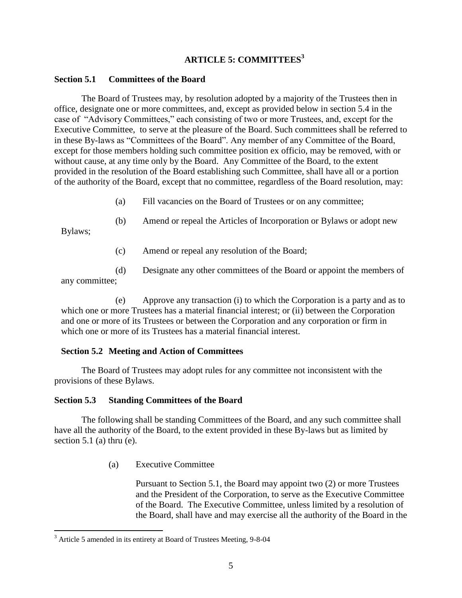# **ARTICLE 5: COMMITTEES<sup>3</sup>**

### **Section 5.1 Committees of the Board**

The Board of Trustees may, by resolution adopted by a majority of the Trustees then in office, designate one or more committees, and, except as provided below in section 5.4 in the case of "Advisory Committees," each consisting of two or more Trustees, and, except for the Executive Committee, to serve at the pleasure of the Board. Such committees shall be referred to in these By-laws as "Committees of the Board". Any member of any Committee of the Board, except for those members holding such committee position ex officio, may be removed, with or without cause, at any time only by the Board. Any Committee of the Board, to the extent provided in the resolution of the Board establishing such Committee, shall have all or a portion of the authority of the Board, except that no committee, regardless of the Board resolution, may:

- (a) Fill vacancies on the Board of Trustees or on any committee;
- (b) Amend or repeal the Articles of Incorporation or Bylaws or adopt new

Bylaws;

 $\overline{a}$ 

- (c) Amend or repeal any resolution of the Board;
- (d) Designate any other committees of the Board or appoint the members of

any committee;

(e) Approve any transaction (i) to which the Corporation is a party and as to which one or more Trustees has a material financial interest; or (ii) between the Corporation and one or more of its Trustees or between the Corporation and any corporation or firm in which one or more of its Trustees has a material financial interest.

## **Section 5.2 Meeting and Action of Committees**

The Board of Trustees may adopt rules for any committee not inconsistent with the provisions of these Bylaws.

## **Section 5.3 Standing Committees of the Board**

The following shall be standing Committees of the Board, and any such committee shall have all the authority of the Board, to the extent provided in these By-laws but as limited by section 5.1 (a) thru (e).

(a) Executive Committee

Pursuant to Section 5.1, the Board may appoint two (2) or more Trustees and the President of the Corporation, to serve as the Executive Committee of the Board. The Executive Committee, unless limited by a resolution of the Board, shall have and may exercise all the authority of the Board in the

<sup>3</sup> Article 5 amended in its entirety at Board of Trustees Meeting, 9-8-04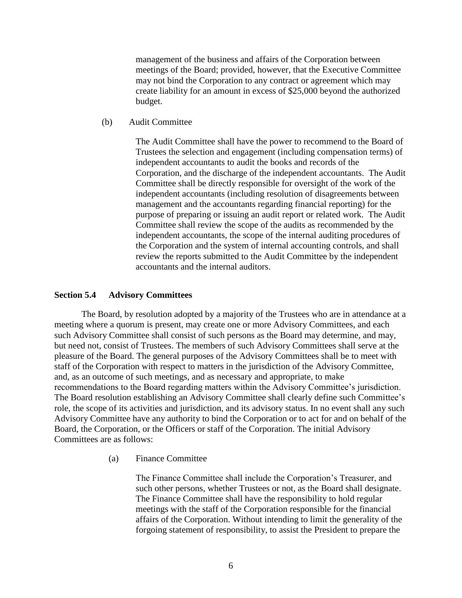management of the business and affairs of the Corporation between meetings of the Board; provided, however, that the Executive Committee may not bind the Corporation to any contract or agreement which may create liability for an amount in excess of \$25,000 beyond the authorized budget.

(b) Audit Committee

The Audit Committee shall have the power to recommend to the Board of Trustees the selection and engagement (including compensation terms) of independent accountants to audit the books and records of the Corporation, and the discharge of the independent accountants. The Audit Committee shall be directly responsible for oversight of the work of the independent accountants (including resolution of disagreements between management and the accountants regarding financial reporting) for the purpose of preparing or issuing an audit report or related work. The Audit Committee shall review the scope of the audits as recommended by the independent accountants, the scope of the internal auditing procedures of the Corporation and the system of internal accounting controls, and shall review the reports submitted to the Audit Committee by the independent accountants and the internal auditors.

### **Section 5.4 Advisory Committees**

The Board, by resolution adopted by a majority of the Trustees who are in attendance at a meeting where a quorum is present, may create one or more Advisory Committees, and each such Advisory Committee shall consist of such persons as the Board may determine, and may, but need not, consist of Trustees. The members of such Advisory Committees shall serve at the pleasure of the Board. The general purposes of the Advisory Committees shall be to meet with staff of the Corporation with respect to matters in the jurisdiction of the Advisory Committee, and, as an outcome of such meetings, and as necessary and appropriate, to make recommendations to the Board regarding matters within the Advisory Committee's jurisdiction. The Board resolution establishing an Advisory Committee shall clearly define such Committee's role, the scope of its activities and jurisdiction, and its advisory status. In no event shall any such Advisory Committee have any authority to bind the Corporation or to act for and on behalf of the Board, the Corporation, or the Officers or staff of the Corporation. The initial Advisory Committees are as follows:

(a) Finance Committee

The Finance Committee shall include the Corporation's Treasurer, and such other persons, whether Trustees or not, as the Board shall designate. The Finance Committee shall have the responsibility to hold regular meetings with the staff of the Corporation responsible for the financial affairs of the Corporation. Without intending to limit the generality of the forgoing statement of responsibility, to assist the President to prepare the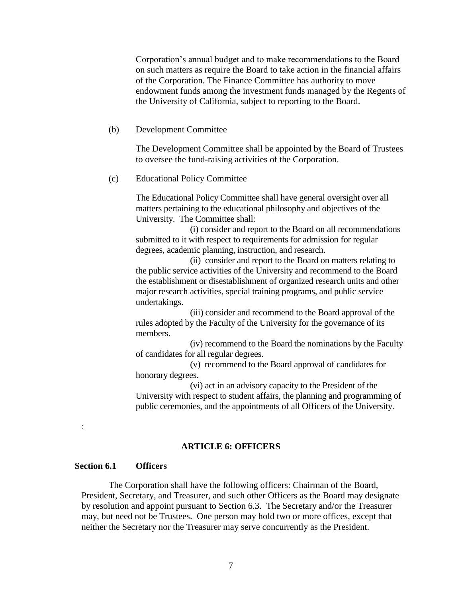Corporation's annual budget and to make recommendations to the Board on such matters as require the Board to take action in the financial affairs of the Corporation. The Finance Committee has authority to move endowment funds among the investment funds managed by the Regents of the University of California, subject to reporting to the Board.

(b) Development Committee

The Development Committee shall be appointed by the Board of Trustees to oversee the fund-raising activities of the Corporation.

(c) Educational Policy Committee

The Educational Policy Committee shall have general oversight over all matters pertaining to the educational philosophy and objectives of the University. The Committee shall:

(i) consider and report to the Board on all recommendations submitted to it with respect to requirements for admission for regular degrees, academic planning, instruction, and research.

(ii) consider and report to the Board on matters relating to the public service activities of the University and recommend to the Board the establishment or disestablishment of organized research units and other major research activities, special training programs, and public service undertakings.

(iii) consider and recommend to the Board approval of the rules adopted by the Faculty of the University for the governance of its members.

(iv) recommend to the Board the nominations by the Faculty of candidates for all regular degrees.

(v) recommend to the Board approval of candidates for honorary degrees.

(vi) act in an advisory capacity to the President of the University with respect to student affairs, the planning and programming of public ceremonies, and the appointments of all Officers of the University.

#### **ARTICLE 6: OFFICERS**

## **Section 6.1 Officers**

:

The Corporation shall have the following officers: Chairman of the Board, President, Secretary, and Treasurer, and such other Officers as the Board may designate by resolution and appoint pursuant to Section 6.3. The Secretary and/or the Treasurer may, but need not be Trustees. One person may hold two or more offices, except that neither the Secretary nor the Treasurer may serve concurrently as the President.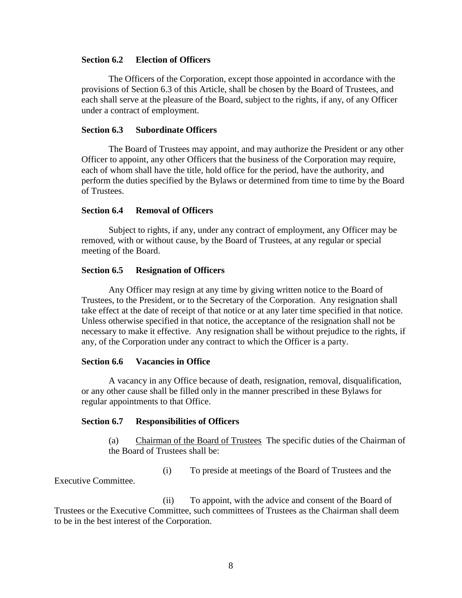### **Section 6.2 Election of Officers**

The Officers of the Corporation, except those appointed in accordance with the provisions of Section 6.3 of this Article, shall be chosen by the Board of Trustees, and each shall serve at the pleasure of the Board, subject to the rights, if any, of any Officer under a contract of employment.

### **Section 6.3 Subordinate Officers**

The Board of Trustees may appoint, and may authorize the President or any other Officer to appoint, any other Officers that the business of the Corporation may require, each of whom shall have the title, hold office for the period, have the authority, and perform the duties specified by the Bylaws or determined from time to time by the Board of Trustees.

### **Section 6.4 Removal of Officers**

Subject to rights, if any, under any contract of employment, any Officer may be removed, with or without cause, by the Board of Trustees, at any regular or special meeting of the Board.

### **Section 6.5 Resignation of Officers**

Any Officer may resign at any time by giving written notice to the Board of Trustees, to the President, or to the Secretary of the Corporation. Any resignation shall take effect at the date of receipt of that notice or at any later time specified in that notice. Unless otherwise specified in that notice, the acceptance of the resignation shall not be necessary to make it effective. Any resignation shall be without prejudice to the rights, if any, of the Corporation under any contract to which the Officer is a party.

### **Section 6.6 Vacancies in Office**

A vacancy in any Office because of death, resignation, removal, disqualification, or any other cause shall be filled only in the manner prescribed in these Bylaws for regular appointments to that Office.

#### **Section 6.7 Responsibilities of Officers**

(a) Chairman of the Board of Trustees The specific duties of the Chairman of the Board of Trustees shall be:

(i) To preside at meetings of the Board of Trustees and the

Executive Committee.

(ii) To appoint, with the advice and consent of the Board of Trustees or the Executive Committee, such committees of Trustees as the Chairman shall deem to be in the best interest of the Corporation.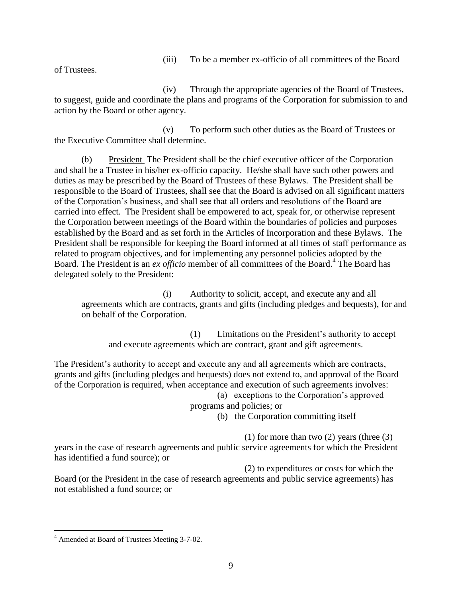(iii) To be a member ex-officio of all committees of the Board

of Trustees.

(iv) Through the appropriate agencies of the Board of Trustees, to suggest, guide and coordinate the plans and programs of the Corporation for submission to and action by the Board or other agency.

(v) To perform such other duties as the Board of Trustees or the Executive Committee shall determine.

(b) President The President shall be the chief executive officer of the Corporation and shall be a Trustee in his/her ex-officio capacity. He/she shall have such other powers and duties as may be prescribed by the Board of Trustees of these Bylaws. The President shall be responsible to the Board of Trustees, shall see that the Board is advised on all significant matters of the Corporation's business, and shall see that all orders and resolutions of the Board are carried into effect. The President shall be empowered to act, speak for, or otherwise represent the Corporation between meetings of the Board within the boundaries of policies and purposes established by the Board and as set forth in the Articles of Incorporation and these Bylaws. The President shall be responsible for keeping the Board informed at all times of staff performance as related to program objectives, and for implementing any personnel policies adopted by the Board. The President is an *ex officio* member of all committees of the Board.<sup>4</sup> The Board has delegated solely to the President:

(i) Authority to solicit, accept, and execute any and all agreements which are contracts, grants and gifts (including pledges and bequests), for and on behalf of the Corporation.

(1) Limitations on the President's authority to accept and execute agreements which are contract, grant and gift agreements.

The President's authority to accept and execute any and all agreements which are contracts, grants and gifts (including pledges and bequests) does not extend to, and approval of the Board of the Corporation is required, when acceptance and execution of such agreements involves: (a) exceptions to the Corporation's approved

programs and policies; or

(b) the Corporation committing itself

(1) for more than two  $(2)$  years (three  $(3)$ )

years in the case of research agreements and public service agreements for which the President has identified a fund source); or

(2) to expenditures or costs for which the Board (or the President in the case of research agreements and public service agreements) has not established a fund source; or

 $\overline{a}$ 

<sup>4</sup> Amended at Board of Trustees Meeting 3-7-02.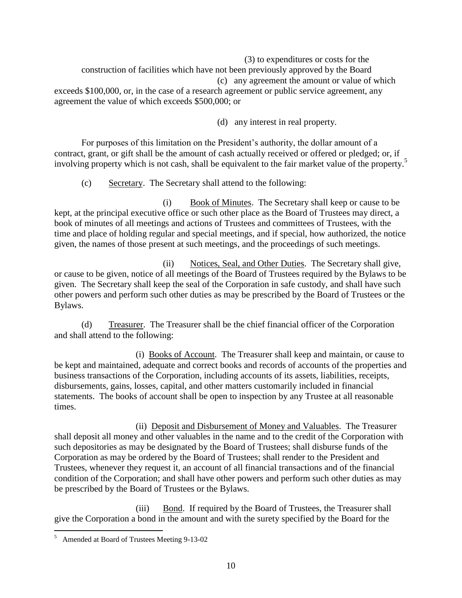(3) to expenditures or costs for the construction of facilities which have not been previously approved by the Board (c) any agreement the amount or value of which exceeds \$100,000, or, in the case of a research agreement or public service agreement, any agreement the value of which exceeds \$500,000; or

(d) any interest in real property.

For purposes of this limitation on the President's authority, the dollar amount of a contract, grant, or gift shall be the amount of cash actually received or offered or pledged; or, if involving property which is not cash, shall be equivalent to the fair market value of the property.<sup>5</sup>

(c) Secretary. The Secretary shall attend to the following:

(i) Book of Minutes. The Secretary shall keep or cause to be kept, at the principal executive office or such other place as the Board of Trustees may direct, a book of minutes of all meetings and actions of Trustees and committees of Trustees, with the time and place of holding regular and special meetings, and if special, how authorized, the notice given, the names of those present at such meetings, and the proceedings of such meetings.

(ii) Notices, Seal, and Other Duties. The Secretary shall give, or cause to be given, notice of all meetings of the Board of Trustees required by the Bylaws to be given. The Secretary shall keep the seal of the Corporation in safe custody, and shall have such other powers and perform such other duties as may be prescribed by the Board of Trustees or the Bylaws.

(d) Treasurer. The Treasurer shall be the chief financial officer of the Corporation and shall attend to the following:

(i) Books of Account. The Treasurer shall keep and maintain, or cause to be kept and maintained, adequate and correct books and records of accounts of the properties and business transactions of the Corporation, including accounts of its assets, liabilities, receipts, disbursements, gains, losses, capital, and other matters customarily included in financial statements. The books of account shall be open to inspection by any Trustee at all reasonable times.

(ii) Deposit and Disbursement of Money and Valuables. The Treasurer shall deposit all money and other valuables in the name and to the credit of the Corporation with such depositories as may be designated by the Board of Trustees; shall disburse funds of the Corporation as may be ordered by the Board of Trustees; shall render to the President and Trustees, whenever they request it, an account of all financial transactions and of the financial condition of the Corporation; and shall have other powers and perform such other duties as may be prescribed by the Board of Trustees or the Bylaws.

(iii) Bond. If required by the Board of Trustees, the Treasurer shall give the Corporation a bond in the amount and with the surety specified by the Board for the

 $\overline{a}$ 

<sup>&</sup>lt;sup>5</sup> Amended at Board of Trustees Meeting 9-13-02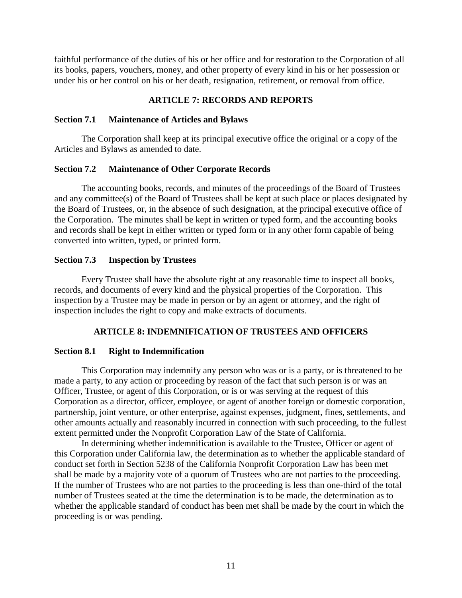faithful performance of the duties of his or her office and for restoration to the Corporation of all its books, papers, vouchers, money, and other property of every kind in his or her possession or under his or her control on his or her death, resignation, retirement, or removal from office.

## **ARTICLE 7: RECORDS AND REPORTS**

### **Section 7.1 Maintenance of Articles and Bylaws**

The Corporation shall keep at its principal executive office the original or a copy of the Articles and Bylaws as amended to date.

### **Section 7.2 Maintenance of Other Corporate Records**

The accounting books, records, and minutes of the proceedings of the Board of Trustees and any committee(s) of the Board of Trustees shall be kept at such place or places designated by the Board of Trustees, or, in the absence of such designation, at the principal executive office of the Corporation. The minutes shall be kept in written or typed form, and the accounting books and records shall be kept in either written or typed form or in any other form capable of being converted into written, typed, or printed form.

## **Section 7.3 Inspection by Trustees**

Every Trustee shall have the absolute right at any reasonable time to inspect all books, records, and documents of every kind and the physical properties of the Corporation. This inspection by a Trustee may be made in person or by an agent or attorney, and the right of inspection includes the right to copy and make extracts of documents.

## **ARTICLE 8: INDEMNIFICATION OF TRUSTEES AND OFFICERS**

#### **Section 8.1 Right to Indemnification**

This Corporation may indemnify any person who was or is a party, or is threatened to be made a party, to any action or proceeding by reason of the fact that such person is or was an Officer, Trustee, or agent of this Corporation, or is or was serving at the request of this Corporation as a director, officer, employee, or agent of another foreign or domestic corporation, partnership, joint venture, or other enterprise, against expenses, judgment, fines, settlements, and other amounts actually and reasonably incurred in connection with such proceeding, to the fullest extent permitted under the Nonprofit Corporation Law of the State of California.

In determining whether indemnification is available to the Trustee, Officer or agent of this Corporation under California law, the determination as to whether the applicable standard of conduct set forth in Section 5238 of the California Nonprofit Corporation Law has been met shall be made by a majority vote of a quorum of Trustees who are not parties to the proceeding. If the number of Trustees who are not parties to the proceeding is less than one-third of the total number of Trustees seated at the time the determination is to be made, the determination as to whether the applicable standard of conduct has been met shall be made by the court in which the proceeding is or was pending.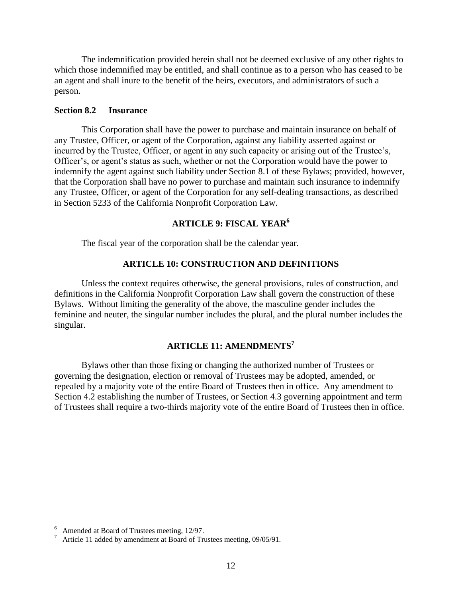The indemnification provided herein shall not be deemed exclusive of any other rights to which those indemnified may be entitled, and shall continue as to a person who has ceased to be an agent and shall inure to the benefit of the heirs, executors, and administrators of such a person.

## **Section 8.2 Insurance**

This Corporation shall have the power to purchase and maintain insurance on behalf of any Trustee, Officer, or agent of the Corporation, against any liability asserted against or incurred by the Trustee, Officer, or agent in any such capacity or arising out of the Trustee's, Officer's, or agent's status as such, whether or not the Corporation would have the power to indemnify the agent against such liability under Section 8.1 of these Bylaws; provided, however, that the Corporation shall have no power to purchase and maintain such insurance to indemnify any Trustee, Officer, or agent of the Corporation for any self-dealing transactions, as described in Section 5233 of the California Nonprofit Corporation Law.

## **ARTICLE 9: FISCAL YEAR<sup>6</sup>**

The fiscal year of the corporation shall be the calendar year.

## **ARTICLE 10: CONSTRUCTION AND DEFINITIONS**

Unless the context requires otherwise, the general provisions, rules of construction, and definitions in the California Nonprofit Corporation Law shall govern the construction of these Bylaws. Without limiting the generality of the above, the masculine gender includes the feminine and neuter, the singular number includes the plural, and the plural number includes the singular.

# **ARTICLE 11: AMENDMENTS<sup>7</sup>**

Bylaws other than those fixing or changing the authorized number of Trustees or governing the designation, election or removal of Trustees may be adopted, amended, or repealed by a majority vote of the entire Board of Trustees then in office. Any amendment to Section 4.2 establishing the number of Trustees, or Section 4.3 governing appointment and term of Trustees shall require a two-thirds majority vote of the entire Board of Trustees then in office.

 $\overline{a}$ 6 Amended at Board of Trustees meeting, 12/97.

<sup>7</sup> Article 11 added by amendment at Board of Trustees meeting, 09/05/91.